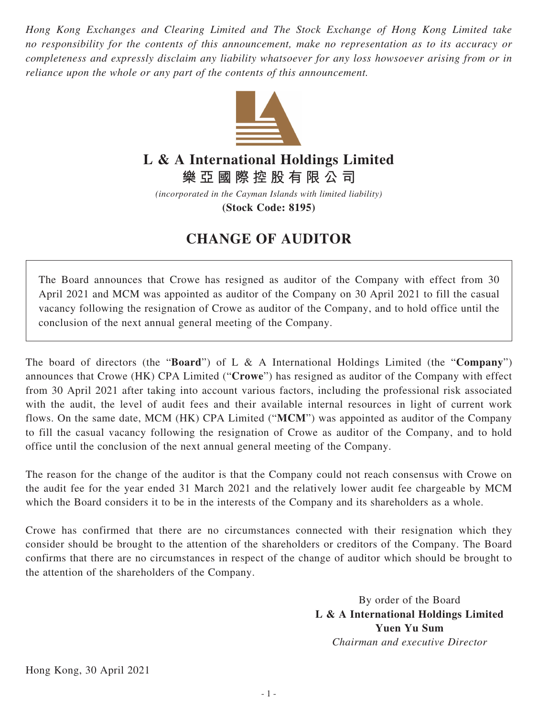*Hong Kong Exchanges and Clearing Limited and The Stock Exchange of Hong Kong Limited take no responsibility for the contents of this announcement, make no representation as to its accuracy or completeness and expressly disclaim any liability whatsoever for any loss howsoever arising from or in reliance upon the whole or any part of the contents of this announcement.*



## **L & A International Holdings Limited**

**樂亞國際控股有限公司**

*(incorporated in the Cayman Islands with limited liability)*

**(Stock Code: 8195)**

## **CHANGE OF AUDITOR**

The Board announces that Crowe has resigned as auditor of the Company with effect from 30 April 2021 and MCM was appointed as auditor of the Company on 30 April 2021 to fill the casual vacancy following the resignation of Crowe as auditor of the Company, and to hold office until the conclusion of the next annual general meeting of the Company.

The board of directors (the "**Board**") of L & A International Holdings Limited (the "**Company**") announces that Crowe (HK) CPA Limited ("**Crowe**") has resigned as auditor of the Company with effect from 30 April 2021 after taking into account various factors, including the professional risk associated with the audit, the level of audit fees and their available internal resources in light of current work flows. On the same date, MCM (HK) CPA Limited ("**MCM**") was appointed as auditor of the Company to fill the casual vacancy following the resignation of Crowe as auditor of the Company, and to hold office until the conclusion of the next annual general meeting of the Company.

The reason for the change of the auditor is that the Company could not reach consensus with Crowe on the audit fee for the year ended 31 March 2021 and the relatively lower audit fee chargeable by MCM which the Board considers it to be in the interests of the Company and its shareholders as a whole.

Crowe has confirmed that there are no circumstances connected with their resignation which they consider should be brought to the attention of the shareholders or creditors of the Company. The Board confirms that there are no circumstances in respect of the change of auditor which should be brought to the attention of the shareholders of the Company.

> By order of the Board **L & A International Holdings Limited Yuen Yu Sum** *Chairman and executive Director*

Hong Kong, 30 April 2021